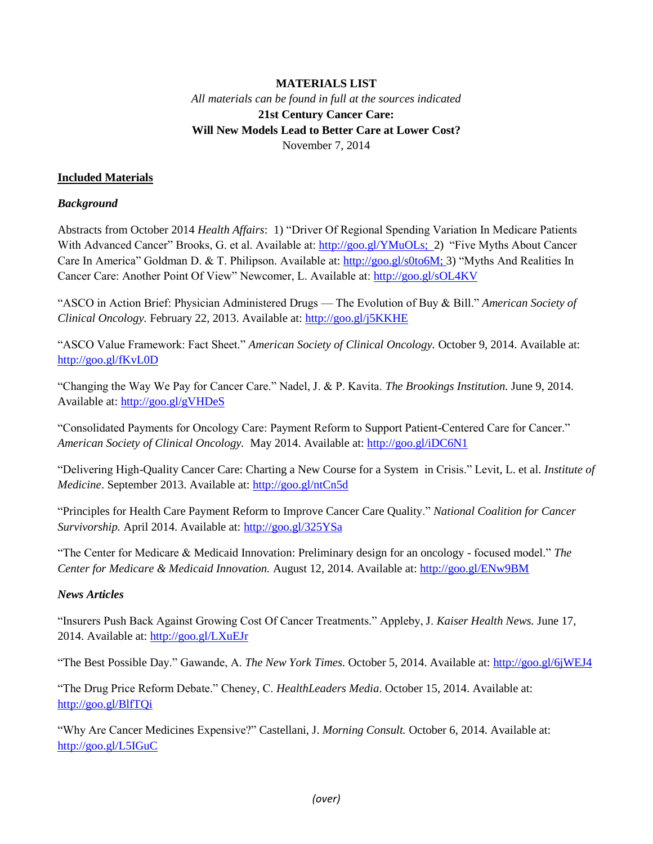# **MATERIALS LIST** *All materials can be found in full at the sources indicated* **21st Century Cancer Care: Will New Models Lead to Better Care at Lower Cost?** November 7, 2014

## **Included Materials**

#### *Background*

Abstracts from October 2014 *Health Affairs*: 1) "Driver Of Regional Spending Variation In Medicare Patients With Advanced Cancer" Brooks, G. et al. Available at: [http://goo.gl/YMuOLs;](http://goo.gl/YMuOLs) 2) "Five Myths About Cancer Care In America" Goldman D. & T. Philipson. Available at: [http://goo.gl/s0to6M;](http://goo.gl/s0to6M) 3) "Myths And Realities In Cancer Care: Another Point Of View" Newcomer, L. Available at:<http://goo.gl/sOL4KV>

"ASCO in Action Brief: Physician Administered Drugs — The Evolution of Buy & Bill." *American Society of Clinical Oncology.* February 22, 2013. Available at:<http://goo.gl/j5KKHE>

"ASCO Value Framework: Fact Sheet." *American Society of Clinical Oncology.* October 9, 2014. Available at: <http://goo.gl/fKvL0D>

"Changing the Way We Pay for Cancer Care." Nadel, J. & P. Kavita. *The Brookings Institution.* June 9, 2014. Available at:<http://goo.gl/gVHDeS>

"Consolidated Payments for Oncology Care: Payment Reform to Support Patient-Centered Care for Cancer." *American Society of Clinical Oncology.* May 2014. Available at:<http://goo.gl/iDC6N1>

"Delivering High-Quality Cancer Care: Charting a New Course for a System in Crisis." Levit, L. et al. *Institute of Medicine*. September 2013. Available at:<http://goo.gl/ntCn5d>

"Principles for Health Care Payment Reform to Improve Cancer Care Quality." *National Coalition for Cancer Survivorship.* April 2014. Available at:<http://goo.gl/325YSa>

"The Center for Medicare & Medicaid Innovation: Preliminary design for an oncology - focused model." *The Center for Medicare & Medicaid Innovation.* August 12, 2014. Available at[: http://goo.gl/ENw9BM](http://goo.gl/ENw9BM)

# *News Articles*

"Insurers Push Back Against Growing Cost Of Cancer Treatments." Appleby, J. *Kaiser Health News.* June 17, 2014. Available at[: http://goo.gl/LXuEJr](http://goo.gl/LXuEJr)

"The Best Possible Day." Gawande, A. *The New York Times.* October 5, 2014. Available at:<http://goo.gl/6jWEJ4>

"The Drug Price Reform Debate." Cheney, C. *HealthLeaders Media*. October 15, 2014. Available at: <http://goo.gl/BlfTQi>

"Why Are Cancer Medicines Expensive?" Castellani, J. *Morning Consult.* October 6, 2014. Available at: <http://goo.gl/L5IGuC>